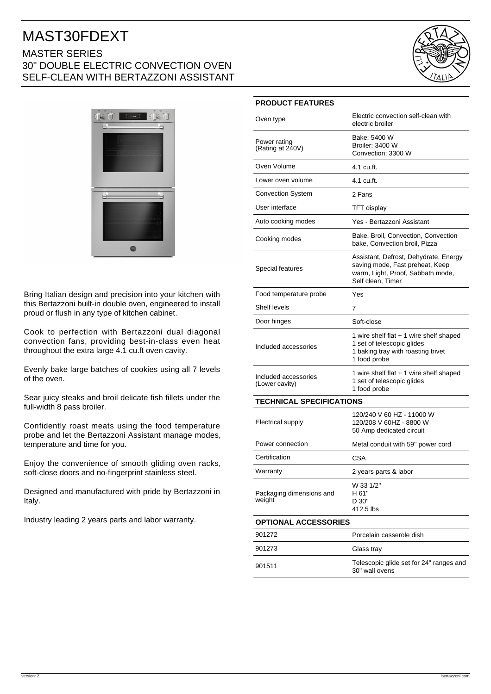## MAST30FDEXT MASTER SERIES 30" DOUBLE ELECTRIC CONVECTION OVEN SELF-CLEAN WITH BERTAZZONI ASSISTANT





Bring Italian design and precision into your kitchen with this Bertazzoni built-in double oven, engineered to install proud or flush in any type of kitchen cabinet.

Cook to perfection with Bertazzoni dual diagonal convection fans, providing best-in-class even heat throughout the extra large 4.1 cu.ft oven cavity.

Evenly bake large batches of cookies using all 7 levels of the oven.

Sear juicy steaks and broil delicate fish fillets under the full-width 8 pass broiler.

Confidently roast meats using the food temperature probe and let the Bertazzoni Assistant manage modes, temperature and time for you.

Enjoy the convenience of smooth gliding oven racks, soft-close doors and no-fingerprint stainless steel.

Designed and manufactured with pride by Bertazzoni in Italy.

Industry leading 2 years parts and labor warranty.

## **PRODUCT FEATURES**

| Oven type                              | Electric convection self-clean with<br>electric broiler                                                                            |
|----------------------------------------|------------------------------------------------------------------------------------------------------------------------------------|
| Power rating<br>(Rating at 240V)       | Bake: 5400 W<br>Broiler: 3400 W<br>Convection: 3300 W                                                                              |
| Oven Volume                            | 4.1 cu.ft.                                                                                                                         |
| Lower oven volume                      | 4.1 cu.ft.                                                                                                                         |
| <b>Convection System</b>               | 2 Fans                                                                                                                             |
| User interface                         | <b>TFT</b> display                                                                                                                 |
| Auto cooking modes                     | Yes - Bertazzoni Assistant                                                                                                         |
| Cooking modes                          | Bake, Broil, Convection, Convection<br>bake, Convection broil, Pizza                                                               |
| Special features                       | Assistant, Defrost, Dehydrate, Energy<br>saving mode, Fast preheat, Keep<br>warm, Light, Proof, Sabbath mode,<br>Self clean. Timer |
| Food temperature probe                 | Yes                                                                                                                                |
| Shelf levels                           | 7                                                                                                                                  |
| Door hinges                            | Soft-close                                                                                                                         |
| Included accessories                   | 1 wire shelf flat $+$ 1 wire shelf shaped<br>1 set of telescopic glides<br>1 baking tray with roasting trivet<br>1 food probe      |
| Included accessories<br>(Lower cavity) | 1 wire shelf flat + 1 wire shelf shaped<br>1 set of telescopic glides<br>1 food probe                                              |
| <b>TECHNICAL SPECIFICATIONS</b>        |                                                                                                                                    |
| Electrical supply                      | 120/240 V 60 HZ - 11000 W<br>120/208 V 60HZ - 8800 W<br>50 Amp dedicated circuit                                                   |
| Power connection                       | Metal conduit with 59" power cord                                                                                                  |
| Certification                          | <b>CSA</b>                                                                                                                         |
| Warranty                               | 2 years parts & labor                                                                                                              |
| Packaging dimensions and<br>weight     | W 33 1/2"<br>H 61"<br>D 30"<br>412.5 lbs                                                                                           |
| <b>OPTIONAL ACCESSORIES</b>            |                                                                                                                                    |
| 901272                                 | Porcelain casserole dish                                                                                                           |
| 901273                                 | Glass tray                                                                                                                         |
| 901511                                 | Telescopic glide set for 24" ranges and<br>30" wall ovens                                                                          |